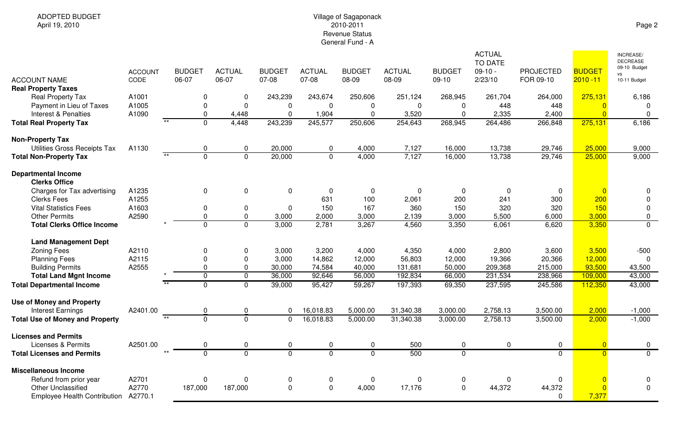## Village of Sagaponack 2010-2011 Revenue StatusGeneral Fund - A

| <b>ACCOUNT NAME</b>                                          | <b>ACCOUNT</b><br>CODE |       | <b>BUDGET</b><br>06-07 | <b>ACTUAL</b><br>06-07        | <b>BUDGET</b><br>07-08         | <b>ACTUAL</b><br>07-08 | <b>BUDGET</b><br>08-09        | <b>ACTUAL</b><br>08-09 | <b>BUDGET</b><br>$09-10$ | <b>ACTUAL</b><br><b>TO DATE</b><br>$09-10 -$<br>2/23/10 | <b>PROJECTED</b><br>FOR 09-10 | <b>BUDGET</b><br>$2010 - 11$ | <b>INCREASE/</b><br><b>DECREASE</b><br>09-10 Budget<br>VS<br>10-11 Budget |
|--------------------------------------------------------------|------------------------|-------|------------------------|-------------------------------|--------------------------------|------------------------|-------------------------------|------------------------|--------------------------|---------------------------------------------------------|-------------------------------|------------------------------|---------------------------------------------------------------------------|
| <b>Real Property Taxes</b><br><b>Real Property Tax</b>       | A1001                  |       | 0                      | 0                             | 243,239                        | 243,674                | 250,606                       | 251,124                | 268,945                  | 261,704                                                 | 264,000                       | 275,131                      | 6,186                                                                     |
| Payment in Lieu of Taxes                                     | A1005                  |       | 0                      | $\mathbf 0$                   | $\mathbf 0$                    | $\Omega$               | 0                             | $\mathbf{0}$           | $\Omega$                 | 448                                                     | 448                           | $\Omega$                     | 0                                                                         |
| Interest & Penalties                                         | A1090                  |       | 0                      | 4,448                         | $\mathbf 0$                    | 1,904                  | $\mathbf 0$                   | 3,520                  | $\Omega$                 | 2,335                                                   | 2,400                         | $\overline{0}$               | $\mathbf 0$                                                               |
| <b>Total Real Property Tax</b>                               |                        | $**$  | $\overline{0}$         | 4,448                         | 243,239                        | 245,577                | 250,606                       | 254,643                | 268,945                  | 264,486                                                 | 266,848                       | 275,131                      | 6,186                                                                     |
| <b>Non-Property Tax</b>                                      |                        |       |                        |                               |                                |                        |                               |                        |                          |                                                         |                               |                              |                                                                           |
| Utilities Gross Receipts Tax                                 | A1130                  |       | 0                      | 0                             | 20,000                         | 0                      | 4,000                         | 7,127                  | 16,000                   | 13,738                                                  | 29,746                        | 25,000                       | 9,000                                                                     |
| <b>Total Non-Property Tax</b>                                |                        | $*$   | $\overline{0}$         | $\overline{0}$                | 20,000                         | $\mathbf 0$            | 4,000                         | 7,127                  | 16,000                   | 13,738                                                  | 29,746                        | 25,000                       | 9,000                                                                     |
| <b>Departmental Income</b><br><b>Clerks Office</b>           |                        |       |                        |                               |                                |                        |                               |                        |                          |                                                         |                               |                              |                                                                           |
| Charges for Tax advertising                                  | A1235                  |       | 0                      | $\mathbf 0$                   | $\mathbf 0$                    | $\mathbf{0}$           | $\mathbf 0$                   | $\mathbf{0}$           | $\Omega$                 | 0                                                       | $\mathbf 0$                   | $\Omega$                     | $\mathbf{0}$                                                              |
| <b>Clerks Fees</b>                                           | A1255                  |       |                        |                               |                                | 631                    | 100                           | 2,061                  | 200                      | 241                                                     | 300                           | 200                          | $\mathbf 0$                                                               |
| <b>Vital Statistics Fees</b>                                 | A1603                  |       | 0                      | $\mathbf 0$                   | 0                              | 150                    | 167                           | 360                    | 150                      | 320                                                     | 320                           | 150                          | $\mathbf 0$                                                               |
| <b>Other Permits</b>                                         | A2590                  |       | 0                      | $\pmb{0}$                     | 3,000                          | 2,000                  | 3,000                         | 2,139                  | 3,000                    | 5,500                                                   | 6,000                         | 3,000                        | $\mathbf 0$                                                               |
| <b>Total Clerks Office Income</b>                            |                        |       | $\mathbf{0}$           | $\mathbf 0$                   | 3,000                          | 2,781                  | 3,267                         | 4,560                  | 3,350                    | 6,061                                                   | 6,620                         | 3,350                        | $\mathbf{0}$                                                              |
| <b>Land Management Dept</b>                                  |                        |       |                        |                               |                                |                        |                               |                        |                          |                                                         |                               |                              |                                                                           |
| <b>Zoning Fees</b>                                           | A2110                  |       | 0                      | 0                             | 3,000                          | 3,200                  | 4,000                         | 4,350                  | 4,000                    | 2,800                                                   | 3,600                         | 3,500                        | $-500$                                                                    |
| <b>Planning Fees</b>                                         | A2115                  |       | 0                      | 0                             | 3,000                          | 14,862                 | 12,000                        | 56,803                 | 12,000                   | 19,366                                                  | 20,366                        | 12,000                       | $\mathbf{0}$                                                              |
| <b>Building Permits</b>                                      | A2555                  |       | 0                      | $\mathbf 0$                   | 30,000                         | 74,584                 | 40,000                        | 131,681                | 50,000                   | 209,368                                                 | 215,000                       | 93,500                       | 43,500                                                                    |
| <b>Total Land Mgnt Income</b>                                |                        |       | $\overline{0}$         | $\overline{0}$                | 36,000                         | 92,646                 | 56,000                        | 192,834                | 66,000                   | 231,534                                                 | 238,966                       | 109,000                      | 43,000                                                                    |
| <b>Total Departmental Income</b>                             |                        |       | $\overline{0}$         | $\overline{0}$                | 39,000                         | 95,427                 | 59,267                        | 197,393                | 69,350                   | 237,595                                                 | 245,586                       | 112,350                      | 43,000                                                                    |
| <b>Use of Money and Property</b><br><b>Interest Earnings</b> | A2401.00               |       | 0                      | $\Omega$                      | 0                              | 16,018.83              | 5,000.00                      | 31,340.38              | 3,000.00                 | 2,758.13                                                | 3,500.00                      | 2,000                        | $-1,000$                                                                  |
| <b>Total Use of Money and Property</b>                       |                        | $***$ | $\overline{0}$         | $\overline{0}$                | $\mathbf 0$                    | 16,018.83              | 5,000.00                      | 31,340.38              | 3,000.00                 | 2,758.13                                                | 3,500.00                      | 2,000                        | $-1,000$                                                                  |
| <b>Licenses and Permits</b>                                  |                        |       |                        |                               |                                |                        |                               |                        |                          |                                                         |                               |                              |                                                                           |
| Licenses & Permits                                           | A2501.00               |       | 0<br>$\overline{0}$    | $\mathbf 0$<br>$\overline{0}$ | $\mathsf{O}$<br>$\overline{0}$ | 0<br>$\overline{0}$    | $\mathbf 0$<br>$\overline{0}$ | 500<br>500             | 0                        | 0                                                       | $\mathbf 0$<br>$\overline{0}$ | $\overline{0}$<br>$\Omega$   | $\mathbf 0$<br>$\overline{0}$                                             |
| <b>Total Licenses and Permits</b>                            |                        |       |                        |                               |                                |                        |                               |                        | $\overline{0}$           |                                                         |                               |                              |                                                                           |
| <b>Miscellaneous Income</b>                                  |                        |       |                        |                               |                                |                        |                               |                        |                          |                                                         |                               |                              |                                                                           |
| Refund from prior year                                       | A2701                  |       | 0                      | $\mathbf 0$                   | $\pmb{0}$                      | 0                      | $\mathbf 0$                   | 0                      | $\mathbf 0$              | 0                                                       | $\mathbf 0$                   |                              | 0                                                                         |
| <b>Other Unclassified</b>                                    | A2770                  |       | 187,000                | 187,000                       | $\mathbf 0$                    | $\mathbf 0$            | 4,000                         | 17,176                 | $\mathbf 0$              | 44,372                                                  | 44,372                        |                              | $\mathbf 0$                                                               |
| <b>Employee Health Contribution</b>                          | A2770.1                |       |                        |                               |                                |                        |                               |                        |                          |                                                         | $\mathbf 0$                   | 7,377                        |                                                                           |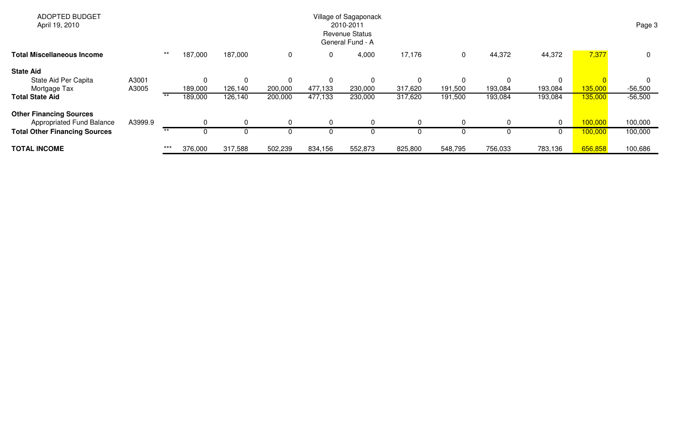| <b>ADOPTED BUDGET</b><br>April 19, 2010 |         |       |         |          |             |         | Village of Sagaponack<br>2010-2011<br><b>Revenue Status</b><br>General Fund - A |         |             |          |             |         | Page 3    |
|-----------------------------------------|---------|-------|---------|----------|-------------|---------|---------------------------------------------------------------------------------|---------|-------------|----------|-------------|---------|-----------|
| <b>Total Miscellaneous Income</b>       |         | $***$ | 187,000 | 187,000  | $\mathbf 0$ |         | 4,000                                                                           | 17,176  | 0           | 44,372   | 44,372      | 7,377   | 0         |
| <b>State Aid</b>                        |         |       |         |          |             |         |                                                                                 |         |             |          |             |         |           |
| State Aid Per Capita                    | A3001   |       | 0       | 0        | $\mathbf 0$ |         | $\mathbf{0}$                                                                    |         | $\mathbf 0$ | $\Omega$ | $\mathbf 0$ |         |           |
| Mortgage Tax                            | A3005   |       | 189,000 | 126,140  | 200,000     | 477,133 | 230,000                                                                         | 317,620 | 191,500     | 193,084  | 193,084     | 135,000 | $-56,500$ |
| <b>Total State Aid</b>                  |         | $***$ | 189,000 | 126,140  | 200,000     | 477,133 | 230,000                                                                         | 317,620 | 191,500     | 193,084  | 193,084     | 135,000 | $-56,500$ |
| <b>Other Financing Sources</b>          |         |       |         |          |             |         |                                                                                 |         |             |          |             |         |           |
| Appropriated Fund Balance               | A3999.9 |       |         | $\Omega$ | 0           |         |                                                                                 |         | 0           | $\Omega$ | $\mathbf 0$ | 100,000 | 100,000   |
| <b>Total Other Financing Sources</b>    |         | $***$ |         |          | 0           |         |                                                                                 |         |             | 0        | $\mathbf 0$ | 100,000 | 100,000   |
| <b>TOTAL INCOME</b>                     |         | $***$ | 376,000 | 317,588  | 502,239     | 834,156 | 552,873                                                                         | 825,800 | 548,795     | 756,033  | 783,136     | 656,858 | 100,686   |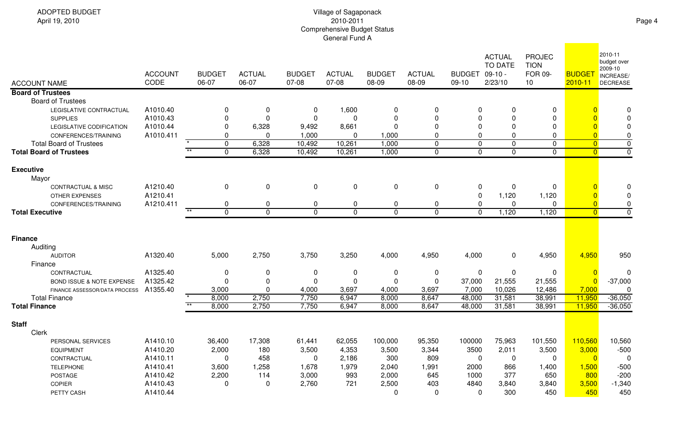| <b>ACCOUNT NAME</b>                  | <b>ACCOUNT</b><br>CODE | <b>BUDGET</b><br>06-07   | <b>ACTUAL</b><br>06-07 | <b>BUDGET</b><br>07-08 | <b>ACTUAL</b><br>$07-08$ | <b>BUDGET</b><br>08-09 | <b>ACTUAL</b><br>08-09 | <b>BUDGET</b><br>$09-10$ | <b>ACTUAL</b><br><b>TO DATE</b><br>$09-10 -$<br>2/23/10 | PROJEC<br><b>TION</b><br><b>FOR 09-</b><br>10 | <b>BUDGET</b><br>2010-11 | 2010-11<br>budget over<br>2009-10<br>INCREASE/<br><b>DECREASE</b> |
|--------------------------------------|------------------------|--------------------------|------------------------|------------------------|--------------------------|------------------------|------------------------|--------------------------|---------------------------------------------------------|-----------------------------------------------|--------------------------|-------------------------------------------------------------------|
| <b>Board of Trustees</b>             |                        |                          |                        |                        |                          |                        |                        |                          |                                                         |                                               |                          |                                                                   |
| <b>Board of Trustees</b>             |                        |                          |                        |                        |                          |                        |                        |                          |                                                         |                                               |                          |                                                                   |
| LEGISLATIVE CONTRACTUAL              | A1010.40               | $\Omega$                 | $\mathbf 0$            | 0                      | 1,600                    | $\mathbf 0$            | 0                      | 0                        | $\Omega$                                                | $\mathbf 0$                                   |                          | $\Omega$                                                          |
| <b>SUPPLIES</b>                      | A1010.43               | $\Omega$                 | $\Omega$               | $\mathbf 0$            | $\Omega$                 | $\Omega$               | $\overline{0}$         | $\mathbf 0$              | $\Omega$                                                | $\mathbf 0$                                   | $\Omega$                 | $\mathbf 0$                                                       |
| LEGISLATIVE CODIFICATION             | A1010.44               | $\Omega$                 | 6,328                  | 9,492                  | 8,661                    | $\mathbf 0$            | 0                      | 0                        | 0                                                       | 0                                             | $\overline{0}$           | $\mathbf 0$                                                       |
| CONFERENCES/TRAINING                 | A1010.411              | $\Omega$                 | $\Omega$               | 1,000                  | 0                        | 1,000                  | $\mathbf 0$            | $\mathbf 0$              | $\mathbf 0$                                             | $\overline{0}$                                | $\overline{0}$           | $\mathbf 0$                                                       |
| <b>Total Board of Trustees</b>       |                        | 0                        | 6,328                  | 10,492                 | 10,261                   | 1,000                  | $\Omega$               | $\mathbf 0$              | $\mathbf 0$                                             | $\mathbf 0$                                   | $\overline{0}$           | $\overline{0}$                                                    |
| <b>Total Board of Trustees</b>       |                        | $**$<br>$\mathbf 0$      | 6,328                  | 10,492                 | 10,261                   | 1,000                  | $\mathbf 0$            | $\mathbf 0$              | $\mathbf 0$                                             | $\mathbf{0}$                                  | $\overline{0}$           | $\overline{0}$                                                    |
| <b>Executive</b>                     |                        |                          |                        |                        |                          |                        |                        |                          |                                                         |                                               |                          |                                                                   |
| Mayor                                |                        |                          |                        |                        |                          |                        |                        |                          |                                                         |                                               |                          |                                                                   |
| <b>CONTRACTUAL &amp; MISC</b>        | A1210.40               | 0                        | $\mathbf 0$            | $\mathbf 0$            | $\pmb{0}$                | $\mathbf 0$            | $\mathbf 0$            | 0                        | 0                                                       | $\mathbf 0$                                   |                          | 0                                                                 |
| <b>OTHER EXPENSES</b>                | A1210.41               |                          |                        |                        |                          |                        |                        | $\pmb{0}$                | 1,120                                                   | 1,120                                         | $\overline{0}$           | $\mathbf 0$                                                       |
| CONFERENCES/TRAINING                 | A1210.411              | 0                        | $\mathbf 0$            | $\mathbf 0$            | 0                        | $\pmb{0}$              | 0                      | $\mathbf 0$              | 0                                                       | $\mathbf 0$                                   | $\overline{0}$           | $\mathbf 0$                                                       |
| <b>Total Executive</b>               |                        | $***$<br>$\overline{0}$  | $\mathbf{0}$           | $\overline{0}$         | $\overline{0}$           | $\overline{0}$         | $\overline{0}$         | $\overline{0}$           | 1,120                                                   | 1,120                                         | $\overline{\mathbf{0}}$  | $\overline{0}$                                                    |
|                                      |                        |                          |                        |                        |                          |                        |                        |                          |                                                         |                                               |                          |                                                                   |
| <b>Finance</b>                       |                        |                          |                        |                        |                          |                        |                        |                          |                                                         |                                               |                          |                                                                   |
| Auditing                             |                        |                          |                        |                        |                          |                        |                        |                          |                                                         |                                               |                          |                                                                   |
| <b>AUDITOR</b>                       | A1320.40               | 5,000                    | 2,750                  | 3,750                  | 3,250                    | 4,000                  | 4,950                  | 4,000                    | $\mathbf 0$                                             | 4,950                                         | 4,950                    | 950                                                               |
| Finance                              |                        |                          |                        |                        |                          |                        |                        |                          |                                                         |                                               |                          |                                                                   |
| CONTRACTUAL                          | A1325.40               | 0                        | 0                      | 0                      | 0                        | 0                      | 0                      | 0                        | 0                                                       | $\mathbf 0$                                   | $\overline{0}$           | 0                                                                 |
| <b>BOND ISSUE &amp; NOTE EXPENSE</b> | A1325.42               | $\Omega$                 | 0                      | $\mathbf 0$            | 0                        | $\mathbf 0$            | $\mathbf 0$            | 37,000                   | 21,555                                                  | 21,555                                        | $\overline{0}$           | $-37,000$                                                         |
| FINANCE ASSESSOR/DATA PROCESS        | A1355.40               | 3,000                    | $\Omega$               | 4,000                  | 3,697                    | 4,000                  | 3,697                  | 7,000                    | 10,026                                                  | 12,486                                        | 7,000                    | $\Omega$                                                          |
| <b>Total Finance</b>                 |                        | 8,000                    | 2,750                  | 7,750                  | 6,947                    | 8,000                  | 8,647                  | 48,000                   | 31,581                                                  | 38,991                                        | 11,950                   | $-36,050$                                                         |
| <b>Total Finance</b>                 |                        | $\overline{**}$<br>8,000 | 2,750                  | 7,750                  | 6,947                    | 8,000                  | 8,647                  | 48,000                   | 31,581                                                  | 38,991                                        | 11,950                   | $-36,050$                                                         |
| <b>Staff</b>                         |                        |                          |                        |                        |                          |                        |                        |                          |                                                         |                                               |                          |                                                                   |
| Clerk                                |                        |                          |                        |                        |                          |                        |                        |                          |                                                         |                                               |                          |                                                                   |
| PERSONAL SERVICES                    | A1410.10               | 36,400                   | 17,308                 | 61,441                 | 62,055                   | 100,000                | 95,350                 | 100000                   | 75,963                                                  | 101,550                                       | 110,560                  | 10,560                                                            |
| <b>EQUIPMENT</b>                     | A1410.20               | 2,000                    | 180                    | 3,500                  | 4,353                    | 3,500                  | 3,344                  | 3500                     | 2,011                                                   | 3,500                                         | 3,000                    | $-500$                                                            |
| CONTRACTUAL                          | A1410.11               | $\Omega$                 | 458                    | $\Omega$               | 2,186                    | 300                    | 809                    | $\mathbf 0$              | $\Omega$                                                | $\mathbf{0}$                                  | $\overline{0}$           | $\mathbf 0$                                                       |
| <b>TELEPHONE</b>                     | A1410.41               | 3,600                    | 1,258                  | 1,678                  | 1,979                    | 2,040                  | 1,991                  | 2000                     | 866                                                     | 1,400                                         | 1,500                    | $-500$                                                            |
| <b>POSTAGE</b>                       | A1410.42               | 2,200                    | 114                    | 3,000                  | 993                      | 2,000                  | 645                    | 1000                     | 377                                                     | 650                                           | 800                      | $-200$                                                            |
| <b>COPIER</b>                        | A1410.43               | $\Omega$                 | 0                      | 2,760                  | 721                      | 2,500                  | 403                    | 4840                     | 3,840                                                   | 3,840                                         | 3,500                    | $-1,340$                                                          |
| PETTY CASH                           | A1410.44               |                          |                        |                        |                          | $\Omega$               | $\mathbf{0}$           | $\Omega$                 | 300                                                     | 450                                           | 450                      | 450                                                               |
|                                      |                        |                          |                        |                        |                          |                        |                        |                          |                                                         |                                               |                          |                                                                   |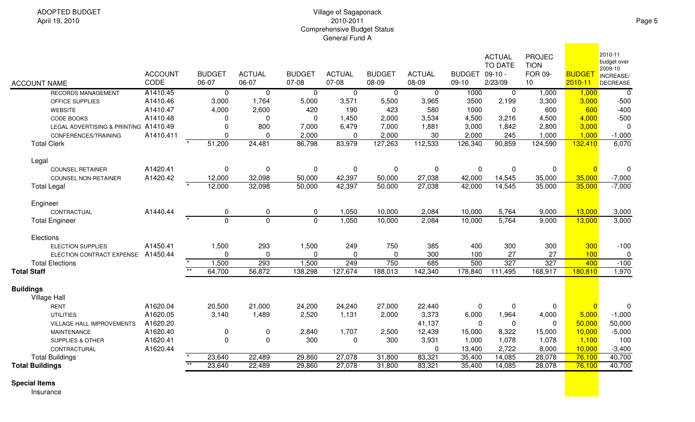|                                       |                |                 |               |                |                |                |                |               | <b>ACTUAL</b><br><b>TO DATE</b> | <b>PROJEC</b><br><b>TION</b> |                | 2010-11<br>budget over |
|---------------------------------------|----------------|-----------------|---------------|----------------|----------------|----------------|----------------|---------------|---------------------------------|------------------------------|----------------|------------------------|
|                                       | <b>ACCOUNT</b> | <b>BUDGET</b>   | <b>ACTUAL</b> | <b>BUDGET</b>  | <b>ACTUAL</b>  | <b>BUDGET</b>  | <b>ACTUAL</b>  | <b>BUDGET</b> | $09-10 -$                       | FOR 09-                      | <b>BUDGET</b>  | 2009-10<br>INCREASE/   |
| <b>ACCOUNT NAME</b>                   | CODE           | 06-07           | 06-07         | 07-08          | 07-08          | 08-09          | 08-09          | $09-10$       | 2/23/09                         | 10                           | $2010 - 11$    | <b>DECREASE</b>        |
| <b>RECORDS MANAGEMENT</b>             | A1410.45       | $\overline{0}$  | $\mathbf 0$   | $\overline{0}$ | $\overline{0}$ | $\overline{0}$ | $\overline{0}$ | 1000          | $\overline{0}$                  | 1,000                        | 1,000          | $\overline{0}$         |
| OFFICE SUPPLIES                       | A1410.46       | 3,000           | 1,764         | 5,000          | 3,571          | 5,500          | 3,965          | 3500          | 2,199                           | 3,300                        | 3,000          | $-500$                 |
| <b>WEBSITE</b>                        | A1410.47       | 4,000           | 2,600         | 420            | 190            | 423            | 580            | 1000          | $\Omega$                        | 600                          | 600            | $-400$                 |
| CODE BOOKS                            | A1410.48       | $\Omega$        | 0             | $\Omega$       | 1,450          | 2,000          | 3,534          | 4,500         | 3,216                           | 4,500                        | 4,000          | $-500$                 |
| LEGAL ADVERTISING & PRINTING A1410.49 |                | $\Omega$        | 800           | 7,000          | 6,479          | 7,000          | 1,881          | 3,000         | 1,842                           | 2,800                        | 3,000          | $\mathbf 0$            |
| CONFERENCES/TRAINING                  | A1410.411      | $\Omega$        | $\Omega$      | 2,000          | $\Omega$       | 2,000          | 30             | 2,000         | 245                             | 1,000                        | 1,000          | $-1,000$               |
| <b>Total Clerk</b>                    |                | 51,200          | 24,481        | 86,798         | 83,979         | 127,263        | 112,533        | 126,340       | 90,859                          | 124,590                      | 132,410        | 6,070                  |
| Legal                                 |                |                 |               |                |                |                |                |               |                                 |                              |                |                        |
| <b>COUNSEL RETAINER</b>               | A1420.41       | 0               | 0             | $\mathbf 0$    | 0              | 0              | $\mathbf 0$    | $\mathbf 0$   | 0                               | 0                            | $\overline{0}$ | $\mathbf 0$            |
| <b>COUNSEL NON-RETAINER</b>           | A1420.42       | 12,000          | 32,098        | 50,000         | 42,397         | 50,000         | 27,038         | 42,000        | 14,545                          | 35,000                       | 35,000         | $-7,000$               |
| <b>Total Legal</b>                    |                | 12,000          | 32,098        | 50,000         | 42,397         | 50,000         | 27,038         | 42,000        | 14,545                          | 35,000                       | 35,000         | $-7,000$               |
| Engineer                              |                |                 |               |                |                |                |                |               |                                 |                              |                |                        |
| CONTRACTUAL                           | A1440.44       | 0               | 0             | $\mathbf 0$    | 1,050          | 10,000         | 2,084          | 10,000        | 5,764                           | 9,000                        | 13,000         | 3,000                  |
| <b>Total Engineer</b>                 |                | $\overline{0}$  | $\Omega$      | $\mathbf 0$    | 1,050          | 10,000         | 2,084          | 10,000        | 5,764                           | 9,000                        | 13,000         | 3,000                  |
| Elections                             |                |                 |               |                |                |                |                |               |                                 |                              |                |                        |
| <b>ELECTION SUPPLIES</b>              | A1450.41       | 1,500           | 293           | 1,500          | 249            | 750            | 385            | 400           | 300                             | 300                          | 300            | $-100$                 |
| ELECTION CONTRACT EXPENSE             | A1450.44       | $\mathbf{0}$    | 0             | $\Omega$       | 0              | 0              | 300            | 100           | 27                              | 27                           | 100            | $\boldsymbol{0}$       |
| <b>Total Elections</b>                |                | 1,500           | 293           | 1,500          | 249            | 750            | 685            | 500           | 327                             | 327                          | 400            | $-100$                 |
| <b>Total Staff</b>                    |                | $**$<br>64,700  | 56,872        | 138,298        | 127,674        | 188,013        | 142,340        | 178,840       | 111,495                         | 168,917                      | 180,810        | 1,970                  |
| <b>Buildings</b>                      |                |                 |               |                |                |                |                |               |                                 |                              |                |                        |
| Village Hall                          |                |                 |               |                |                |                |                |               |                                 |                              |                |                        |
| <b>RENT</b>                           | A1620.04       | 20,500          | 21,000        | 24,200         | 24,240         | 27,000         | 22,440         | $\mathbf 0$   | $\mathbf 0$                     | 0                            | $\overline{0}$ | $\mathbf 0$            |
| <b>UTILITIES</b>                      | A1620.05       | 3,140           | 1,489         | 2,520          | 1,131          | 2,000          | 3,373          | 6,000         | 1,964                           | 4,000                        | 5,000          | $-1,000$               |
| VILLAGE HALL IMPROVEMENTS             | A1620.20       |                 |               |                |                |                | 41,137         | $\mathbf 0$   | $\Omega$                        | $\Omega$                     | 50,000         | 50,000                 |
| <b>MAINTENANCE</b>                    | A1620.40       | $\pmb{0}$       | 0             | 2,840          | 1,707          | 2,500          | 12,439         | 15,000        | 8,322                           | 15,000                       | 10,000         | $-5,000$               |
| <b>SUPPLIES &amp; OTHER</b>           | A1620.41       | $\mathbf 0$     | 0             | 300            | 0              | 300            | 3,931          | 1,000         | 1,078                           | 1,078                        | 1,100          | 100                    |
| CONTRACTURAL                          | A1620.44       |                 |               |                |                |                | $\mathbf 0$    | 13,400        | 2,722                           | 8,000                        | 10,000         | $-3,400$               |
| <b>Total Buildings</b>                |                | 23,640          | 22,489        | 29,860         | 27,078         | 31,800         | 83,321         | 35,400        | 14,085                          | 28,078                       | 76,100         | 40,700                 |
| <b>Total Buildings</b>                |                | $+ +$<br>23,640 | 22,489        | 29,860         | 27,078         | 31,800         | 83,321         | 35,400        | 14,085                          | 28,078                       | 76,100         | 40,700                 |

**Special Items**

Insurance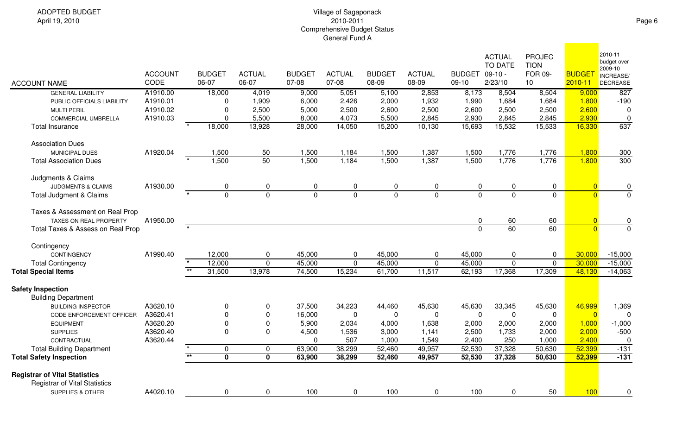|                                                                  |                |                          |                         |               |               |               |               |               |                | <b>ACTUAL</b><br><b>TO DATE</b> | <b>PROJEC</b><br><b>TION</b> |                | 2010-11<br>budget over |
|------------------------------------------------------------------|----------------|--------------------------|-------------------------|---------------|---------------|---------------|---------------|---------------|----------------|---------------------------------|------------------------------|----------------|------------------------|
|                                                                  | <b>ACCOUNT</b> |                          | <b>BUDGET</b>           | <b>ACTUAL</b> | <b>BUDGET</b> | <b>ACTUAL</b> | <b>BUDGET</b> | <b>ACTUAL</b> | <b>BUDGET</b>  | $09-10 -$                       | FOR 09-                      | <b>BUDGET</b>  | 2009-10<br>INCREASE/   |
| <b>ACCOUNT NAME</b>                                              | CODE           | 06-07                    |                         | 06-07         | 07-08         | 07-08         | 08-09         | 08-09         | $09-10$        | 2/23/10                         | 10                           | 2010-11        | DECREASE               |
| <b>GENERAL LIABILITY</b>                                         | A1910.00       |                          | 18,000                  | 4,019         | 9,000         | 5,051         | 5,100         | 2,853         | 8,173          | 8,504                           | 8,504                        | 9,000          | 827                    |
| PUBLIC OFFICIALS LIABILITY                                       | A1910.01       |                          | 0                       | 1,909         | 6,000         | 2,426         | 2,000         | 1,932         | 1,990          | 1,684                           | 1,684                        | 1,800          | $-190$                 |
| <b>MULTI PERIL</b>                                               | A1910.02       |                          | $\mathbf 0$             | 2,500         | 5,000         | 2,500         | 2,600         | 2,500         | 2,600          | 2,500                           | 2,500                        | 2,600          | $\mathbf 0$            |
| <b>COMMERCIAL UMBRELLA</b>                                       | A1910.03       |                          | $\Omega$                | 5,500         | 8,000         | 4,073         | 5,500         | 2,845         | 2,930          | 2,845                           | 2,845                        | 2,930          | $\mathbf 0$            |
| <b>Total Insurance</b>                                           |                |                          | 18,000                  | 13,928        | 28,000        | 14,050        | 15,200        | 10,130        | 15,693         | 15,532                          | 15,533                       | 16,330         | 637                    |
| <b>Association Dues</b>                                          |                |                          |                         |               |               |               |               |               |                |                                 |                              |                |                        |
| <b>MUNICIPAL DUES</b>                                            | A1920.04       |                          | 1,500                   | 50            | 1,500         | 1,184         | 1,500         | 1,387         | 1,500          | 1,776                           | 1,776                        | 1,800          | 300                    |
| <b>Total Association Dues</b>                                    |                |                          | 1,500                   | 50            | 1,500         | 1,184         | 1,500         | 1,387         | 1,500          | 1,776                           | 1,776                        | 1,800          | 300                    |
| Judgments & Claims                                               |                |                          |                         |               |               |               |               |               |                |                                 |                              |                |                        |
| <b>JUDGMENTS &amp; CLAIMS</b>                                    | A1930.00       |                          | 0                       | 0             | 0             | $\mathbf 0$   | 0             | $\mathbf 0$   | $\mathbf 0$    | $\mathbf 0$                     | $\mathbf 0$                  | $\overline{0}$ | 0                      |
| Total Judgment & Claims                                          |                |                          | $\overline{0}$          | $\Omega$      | $\mathbf{0}$  | $\mathbf{0}$  | $\Omega$      | $\Omega$      | $\Omega$       | $\mathbf 0$                     | $\mathbf{0}$                 | $\Omega$       | $\overline{0}$         |
| Taxes & Assessment on Real Prop<br><b>TAXES ON REAL PROPERTY</b> | A1950.00       |                          |                         |               |               |               |               |               | $\mathbf 0$    | 60                              | 60                           | $\overline{0}$ |                        |
| Total Taxes & Assess on Real Prop                                |                |                          |                         |               |               |               |               |               | $\overline{0}$ | 60                              | 60                           | $\overline{0}$ | $\frac{0}{0}$          |
| Contingency                                                      |                |                          |                         |               |               |               |               |               |                |                                 |                              |                |                        |
| <b>CONTINGENCY</b>                                               | A1990.40       |                          | 12,000                  | 0             | 45,000        | $\mathbf 0$   | 45,000        | $\Omega$      | 45,000         | 0                               | $\mathbf 0$                  | 30,000         | $-15,000$              |
| <b>Total Contingency</b>                                         |                | $\overline{\phantom{a}}$ | 12,000                  | $\mathbf 0$   | 45,000        | $\mathbf 0$   | 45,000        | $\mathbf 0$   | 45,000         | $\mathbf 0$                     | $\mathbf{0}$                 | 30,000         | $-15,000$              |
| <b>Total Special Items</b>                                       |                | $\star\star$             | 31,500                  | 13,978        | 74,500        | 15,234        | 61,700        | 11,517        | 62,193         | 17,368                          | 17,309                       | 48,130         | $-14,063$              |
| <b>Safety Inspection</b>                                         |                |                          |                         |               |               |               |               |               |                |                                 |                              |                |                        |
| <b>Building Department</b>                                       |                |                          |                         |               |               |               |               |               |                |                                 |                              |                |                        |
| <b>BUILDING INSPECTOR</b>                                        | A3620.10       |                          | 0                       | 0             | 37,500        | 34,223        | 44,460        | 45,630        | 45,630         | 33,345                          | 45,630                       | 46,999         | 1,369                  |
| CODE ENFORCEMENT OFFICER                                         | A3620.41       |                          | $\overline{0}$          | $\mathbf 0$   | 16,000        | $\mathbf{0}$  | $\mathbf{0}$  | $\Omega$      | $\pmb{0}$      | $\mathbf{0}$                    | $\mathbf 0$                  | $\overline{0}$ | $\mathbf 0$            |
| <b>EQUIPMENT</b>                                                 | A3620.20       |                          | $\mathbf 0$             | 0             | 5,900         | 2,034         | 4,000         | 1,638         | 2,000          | 2,000                           | 2,000                        | 1,000          | $-1,000$               |
| <b>SUPPLIES</b>                                                  | A3620.40       |                          | $\mathbf 0$             | 0             | 4,500         | 1,536         | 3,000         | 1,141         | 2,500          | 1,733                           | 2,000                        | 2,000          | $-500$                 |
| CONTRACTUAL                                                      | A3620.44       |                          |                         |               | $\Omega$      | 507           | 1,000         | 1,549         | 2,400          | 250                             | 1,000                        | 2,400          | $\mathbf 0$            |
| <b>Total Building Department</b>                                 |                |                          | $\pmb{0}$               | 0             | 63,900        | 38,299        | 52,460        | 49,957        | 52,530         | 37,328                          | 50,630                       | 52,399         | $-131$                 |
| <b>Total Safety Inspection</b>                                   |                | $\overline{\ast}$        | $\overline{\mathbf{0}}$ | $\bf{0}$      | 63,900        | 38,299        | 52,460        | 49,957        | 52,530         | 37,328                          | 50,630                       | 52,399         | $-131$                 |
| <b>Registrar of Vital Statistics</b>                             |                |                          |                         |               |               |               |               |               |                |                                 |                              |                |                        |
| <b>Registrar of Vital Statistics</b>                             |                |                          |                         |               |               |               |               |               |                |                                 |                              |                |                        |
| <b>SUPPLIES &amp; OTHER</b>                                      | A4020.10       |                          | 0                       | 0             | 100           | 0             | 100           | 0             | 100            | 0                               | 50                           | 100            | 0                      |

**Contract Contract**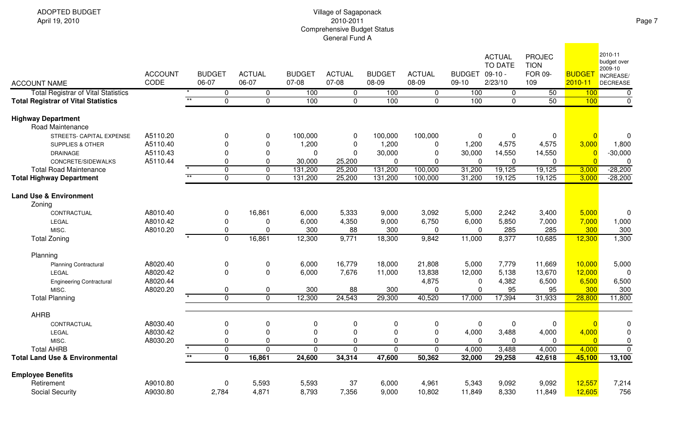| <b>ACCOUNT NAME</b>                                  | <b>ACCOUNT</b><br>CODE |                 | <b>BUDGET</b><br>06-07 | <b>ACTUAL</b><br>06-07 | <b>BUDGET</b><br>07-08 | <b>ACTUAL</b><br>07-08 | <b>BUDGET</b><br>08-09 | <b>ACTUAL</b><br>08-09 | BUDGET 09-10 -<br>$09-10$ | <b>ACTUAL</b><br>TO DATE<br>2/23/10 | <b>PROJEC</b><br><b>TION</b><br>FOR 09-<br>109 | <b>BUDGET</b><br>$2010 - 11$ | 2010-11<br>budget over<br>2009-10<br>INCREASE/<br><b>DECREASE</b> |
|------------------------------------------------------|------------------------|-----------------|------------------------|------------------------|------------------------|------------------------|------------------------|------------------------|---------------------------|-------------------------------------|------------------------------------------------|------------------------------|-------------------------------------------------------------------|
| <b>Total Registrar of Vital Statistics</b>           |                        |                 | 0                      | 0                      | 100                    | $\mathbf 0$            | 100                    | $\mathbf 0$            | 100                       | 0                                   | 50                                             | 100                          | $\overline{0}$                                                    |
| <b>Total Registrar of Vital Statistics</b>           |                        | $**$            | $\overline{0}$         | $\overline{0}$         | 100                    | $\overline{0}$         | 100                    | $\overline{0}$         | 100                       | $\overline{0}$                      | 50                                             | 100                          | $\overline{0}$                                                    |
| <b>Highway Department</b><br><b>Road Maintenance</b> |                        |                 |                        |                        |                        |                        |                        |                        |                           |                                     |                                                |                              |                                                                   |
| STREETS- CAPITAL EXPENSE                             | A5110.20               |                 | 0                      | 0                      | 100,000                | $\mathbf 0$            | 100,000                | 100,000                | 0                         | 0                                   | 0                                              | $\Omega$                     | $\mathbf 0$                                                       |
| <b>SUPPLIES &amp; OTHER</b>                          | A5110.40               |                 | $\mathbf 0$            | 0                      | 1,200                  | 0                      | 1,200                  | $\mathbf 0$            | 1,200                     | 4,575                               | 4,575                                          | 3,000                        | 1,800                                                             |
| <b>DRAINAGE</b>                                      | A5110.43               |                 | $\mathbf 0$            | 0                      | 0                      | 0                      | 30,000                 | $\overline{0}$         | 30,000                    | 14,550                              | 14,550                                         | $\overline{0}$               | $-30,000$                                                         |
| CONCRETE/SIDEWALKS                                   | A5110.44               |                 | $\mathbf 0$            | 0                      | 30,000                 | 25,200                 | 0                      | $\mathbf 0$            | $\mathbf 0$               | 0                                   | 0                                              | $\overline{0}$               | $\Omega$                                                          |
| <b>Total Road Maintenance</b>                        |                        |                 | $\mathbf 0$            | $\Omega$               | 131,200                | 25,200                 | 131,200                | 100,000                | 31,200                    | 19,125                              | 19,125                                         | 3,000                        | $-28,200$                                                         |
| <b>Total Highway Department</b>                      |                        | $***$           | $\overline{0}$         | 0                      | 131,200                | 25,200                 | 131,200                | 100,000                | 31,200                    | 19,125                              | 19,125                                         | 3,000                        | $-28,200$                                                         |
| <b>Land Use &amp; Environment</b><br>Zoning          | A8010.40               |                 |                        | 16,861                 |                        | 5,333                  |                        | 3,092                  | 5,000                     | 2,242                               | 3,400                                          | 5,000                        |                                                                   |
| CONTRACTUAL                                          | A8010.42               |                 | 0                      |                        | 6,000                  |                        | 9,000                  |                        |                           |                                     |                                                |                              | $\mathbf 0$                                                       |
| LEGAL                                                |                        |                 | $\mathbf 0$            | 0                      | 6,000                  | 4,350                  | 9,000                  | 6,750                  | 6,000                     | 5,850                               | 7,000                                          | 7,000                        | 1,000                                                             |
| MISC.                                                | A8010.20               |                 | $\mathbf 0$            | $\Omega$               | 300                    | 88                     | 300                    | $\mathbf 0$            | $\pmb{0}$                 | 285                                 | 285                                            | 300                          | 300                                                               |
| <b>Total Zoning</b>                                  |                        |                 | $\mathbf 0$            | 16,861                 | 12,300                 | 9,771                  | 18,300                 | 9,842                  | 11,000                    | 8,377                               | 10,685                                         | 12,300                       | 1,300                                                             |
| Planning                                             |                        |                 |                        |                        |                        |                        |                        |                        |                           |                                     |                                                |                              |                                                                   |
| <b>Planning Contractural</b>                         | A8020.40               |                 | $\pmb{0}$              | 0                      | 6,000                  | 16,779                 | 18,000                 | 21,808                 | 5,000                     | 7,779                               | 11,669                                         | 10,000                       | 5,000                                                             |
| LEGAL                                                | A8020.42               |                 | $\pmb{0}$              | 0                      | 6,000                  | 7,676                  | 11,000                 | 13,838                 | 12,000                    | 5,138                               | 13,670                                         | 12,000                       | $\mathbf 0$                                                       |
| <b>Engineering Contractural</b>                      | A8020.44               |                 |                        |                        |                        |                        |                        | 4,875                  | 0                         | 4,382                               | 6,500                                          | 6,500                        | 6,500                                                             |
| MISC.                                                | A8020.20               |                 | 0                      | 0                      | 300                    | 88                     | 300                    | $\mathbf{0}$           | $\mathbf 0$               | 95                                  | 95                                             | 300                          | 300                                                               |
| <b>Total Planning</b>                                |                        |                 | $\mathbf 0$            | $\overline{0}$         | 12,300                 | 24,543                 | 29,300                 | 40,520                 | 17,000                    | 17,394                              | 31,933                                         | 28,800                       | 11,800                                                            |
| <b>AHRB</b>                                          |                        |                 |                        |                        |                        |                        |                        |                        |                           |                                     |                                                |                              |                                                                   |
| CONTRACTUAL                                          | A8030.40               |                 | 0                      | 0                      | $\mathbf 0$            | 0                      | 0                      | $\mathbf 0$            | $\mathbf 0$               | $\mathbf 0$                         | 0                                              | $\overline{0}$               | $\mathbf 0$                                                       |
| LEGAL                                                | A8030.42               |                 | 0                      | 0                      | $\mathbf 0$            | 0                      | 0                      | $\mathbf 0$            | 4,000                     | 3,488                               | 4,000                                          | 4,000                        | $\boldsymbol{0}$                                                  |
| MISC.                                                | A8030.20               |                 | 0                      | 0                      | $\mathbf 0$            | 0                      | $\pmb{0}$              | $\mathbf 0$            | $\mathbf 0$               | $\mathbf 0$                         | $\mathbf 0$                                    | $\overline{0}$               | $\pmb{0}$                                                         |
| <b>Total AHRB</b>                                    |                        | $\star$         | $\overline{0}$         | $\mathbf{0}$           | $\mathbf 0$            | $\overline{0}$         | $\overline{0}$         | $\overline{0}$         | 4,000                     | 3,488                               | 4,000                                          | 4,000                        | $\overline{0}$                                                    |
| <b>Total Land Use &amp; Environmental</b>            |                        | $\overline{**}$ | $\mathbf 0$            | 16,861                 | 24,600                 | 34,314                 | 47,600                 | 50,362                 | 32,000                    | 29,258                              | 42,618                                         | 45,100                       | 13,100                                                            |
|                                                      |                        |                 |                        |                        |                        |                        |                        |                        |                           |                                     |                                                |                              |                                                                   |
| <b>Employee Benefits</b>                             |                        |                 |                        |                        |                        |                        |                        |                        |                           |                                     |                                                |                              |                                                                   |
| Retirement                                           | A9010.80               |                 | $\pmb{0}$              | 5,593                  | 5,593                  | 37                     | 6,000                  | 4,961                  | 5,343                     | 9,092                               | 9,092                                          | 12,557                       | 7,214                                                             |
| <b>Social Security</b>                               | A9030.80               |                 | 2,784                  | 4,871                  | 8,793                  | 7,356                  | 9,000                  | 10,802                 | 11,849                    | 8,330                               | 11,849                                         | 12,605                       | 756                                                               |

 $\sim 100$  km s  $^{-1}$